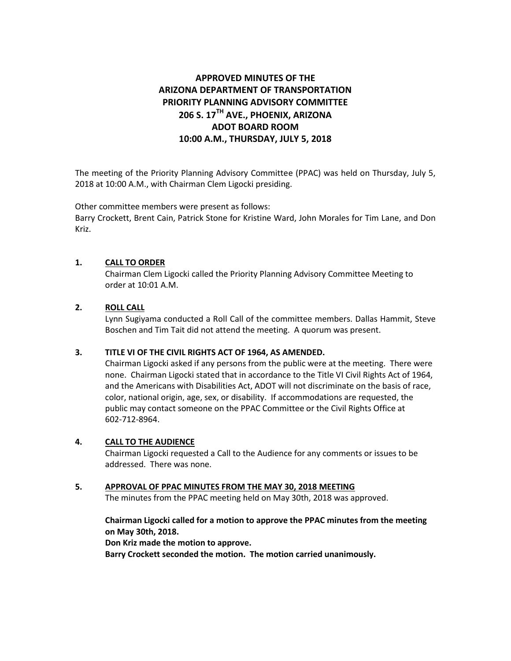# **APPROVED MINUTES OF THE ARIZONA DEPARTMENT OF TRANSPORTATION PRIORITY PLANNING ADVISORY COMMITTEE 206 S. 17TH AVE., PHOENIX, ARIZONA ADOT BOARD ROOM 10:00 A.M., THURSDAY, JULY 5, 2018**

The meeting of the Priority Planning Advisory Committee (PPAC) was held on Thursday, July 5, 2018 at 10:00 A.M., with Chairman Clem Ligocki presiding.

Other committee members were present as follows:

Barry Crockett, Brent Cain, Patrick Stone for Kristine Ward, John Morales for Tim Lane, and Don Kriz.

## **1. CALL TO ORDER**

Chairman Clem Ligocki called the Priority Planning Advisory Committee Meeting to order at 10:01 A.M.

# **2. ROLL CALL**

Lynn Sugiyama conducted a Roll Call of the committee members. Dallas Hammit, Steve Boschen and Tim Tait did not attend the meeting. A quorum was present.

### **3. TITLE VI OF THE CIVIL RIGHTS ACT OF 1964, AS AMENDED.**

Chairman Ligocki asked if any persons from the public were at the meeting. There were none. Chairman Ligocki stated that in accordance to the Title VI Civil Rights Act of 1964, and the Americans with Disabilities Act, ADOT will not discriminate on the basis of race, color, national origin, age, sex, or disability. If accommodations are requested, the public may contact someone on the PPAC Committee or the Civil Rights Office at 602-712-8964.

### **4. CALL TO THE AUDIENCE**

Chairman Ligocki requested a Call to the Audience for any comments or issues to be addressed. There was none.

### **5. APPROVAL OF PPAC MINUTES FROM THE MAY 30, 2018 MEETING**

The minutes from the PPAC meeting held on May 30th, 2018 was approved.

## **Chairman Ligocki called for a motion to approve the PPAC minutes from the meeting on May 30th, 2018.**

**Don Kriz made the motion to approve.** 

**Barry Crockett seconded the motion. The motion carried unanimously.**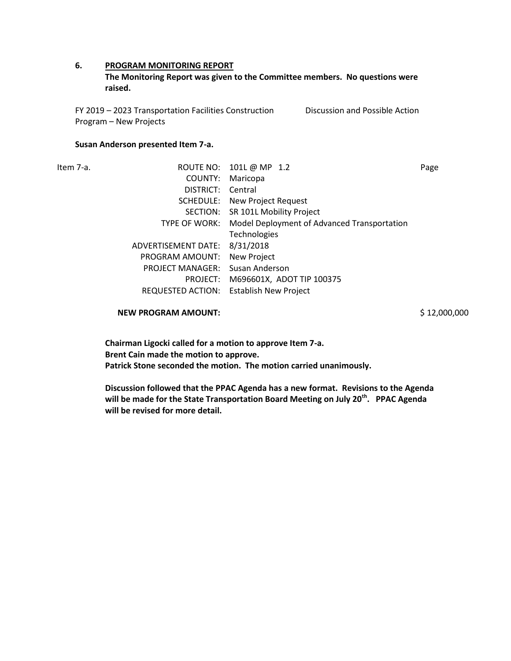### **6. PROGRAM MONITORING REPORT**

**The Monitoring Report was given to the Committee members. No questions were raised.** 

FY 2019 – 2023 Transportation Facilities Construction Program – New Projects Discussion and Possible Action

#### **Susan Anderson presented Item 7-a.**

Item 7-a. ROUTE NO: 101L @ MP 1.2 Page COUNTY: Maricopa DISTRICT: Central SCHEDULE: New Project Request SECTION: SR 101L Mobility Project TYPE OF WORK: Model Deployment of Advanced Transportation Technologies ADVERTISEMENT DATE: 8/31/2018 PROGRAM AMOUNT: New Project PROJECT MANAGER: Susan Anderson PROJECT: M696601X, ADOT TIP 100375 REQUESTED ACTION: Establish New Project

**NEW PROGRAM AMOUNT:**  $\frac{1}{2}$  12,000,000

**Chairman Ligocki called for a motion to approve Item 7-a. Brent Cain made the motion to approve. Patrick Stone seconded the motion. The motion carried unanimously.**

**Discussion followed that the PPAC Agenda has a new format. Revisions to the Agenda will be made for the State Transportation Board Meeting on July 20th. PPAC Agenda will be revised for more detail.**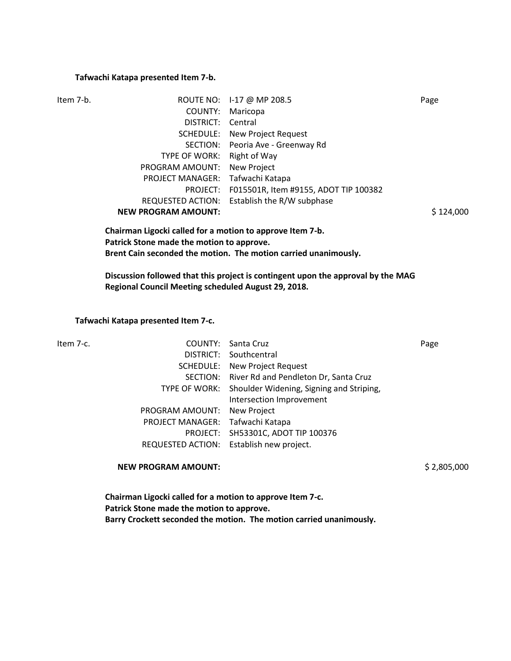#### **Tafwachi Katapa presented Item 7-b.**

| Item 7-b.                   |          | ROUTE NO: 1-17 @ MP 208.5                                 | Page      |
|-----------------------------|----------|-----------------------------------------------------------|-----------|
|                             | COUNTY:  | Maricopa                                                  |           |
|                             |          | DISTRICT: Central                                         |           |
|                             |          | <b>SCHEDULE:</b> New Project Request                      |           |
|                             |          | SECTION: Peoria Ave - Greenway Rd                         |           |
|                             |          | TYPE OF WORK: Right of Way                                |           |
| PROGRAM AMOUNT: New Project |          |                                                           |           |
| <b>PROJECT MANAGER:</b>     |          | Tafwachi Katapa                                           |           |
|                             | PROJECT: | F015501R, Item #9155, ADOT TIP 100382                     |           |
|                             |          | REQUESTED ACTION: Establish the R/W subphase              |           |
| <b>NEW PROGRAM AMOUNT:</b>  |          |                                                           | \$124,000 |
|                             |          | Chairman Ligocki called for a motion to approve Item 7-b. |           |

**Chairman Ligocki called for a motion to approve Item 7-b. Patrick Stone made the motion to approve. Brent Cain seconded the motion. The motion carried unanimously.**

**Discussion followed that this project is contingent upon the approval by the MAG Regional Council Meeting scheduled August 29, 2018.** 

#### **Tafwachi Katapa presented Item 7-c.**

| Item 7-c. |                                  | <b>COUNTY: Santa Cruz</b>                              | Page |
|-----------|----------------------------------|--------------------------------------------------------|------|
|           |                                  | DISTRICT: Southcentral                                 |      |
|           |                                  | <b>SCHEDULE:</b> New Project Request                   |      |
|           |                                  | SECTION: River Rd and Pendleton Dr, Santa Cruz         |      |
|           |                                  | TYPE OF WORK: Shoulder Widening, Signing and Striping, |      |
|           |                                  | Intersection Improvement                               |      |
|           | PROGRAM AMOUNT: New Project      |                                                        |      |
|           | PROJECT MANAGER: Tafwachi Katapa |                                                        |      |
|           |                                  | PROJECT: SH53301C, ADOT TIP 100376                     |      |
|           |                                  | REQUESTED ACTION: Establish new project.               |      |
|           |                                  |                                                        |      |

**NEW PROGRAM AMOUNT:**  $$2,805,000$ 

**Chairman Ligocki called for a motion to approve Item 7-c. Patrick Stone made the motion to approve. Barry Crockett seconded the motion. The motion carried unanimously.**